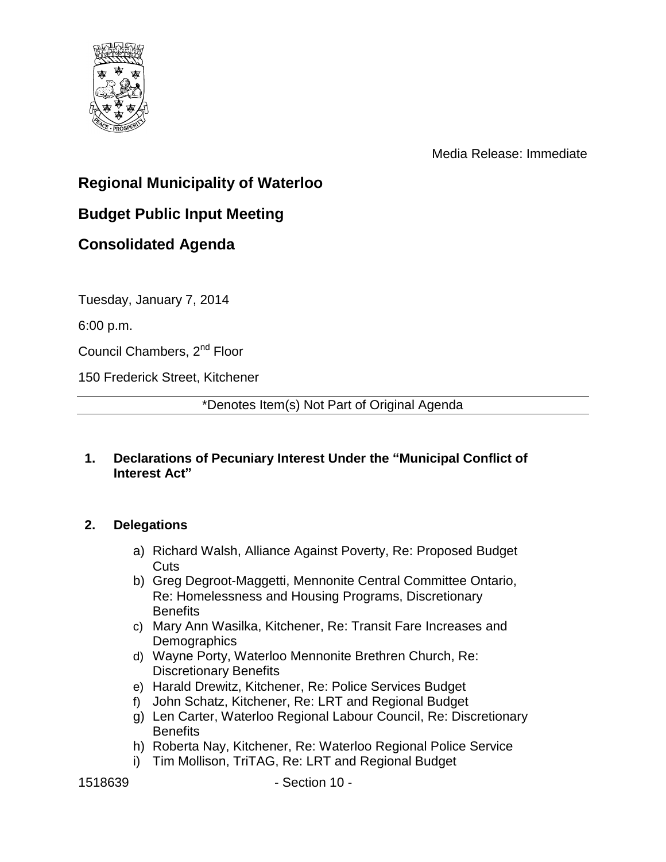

Media Release: Immediate

# **Regional Municipality of Waterloo**

# **Budget Public Input Meeting**

## **Consolidated Agenda**

Tuesday, January 7, 2014

6:00 p.m.

Council Chambers, 2nd Floor

150 Frederick Street, Kitchener

\*Denotes Item(s) Not Part of Original Agenda

#### **1. Declarations of Pecuniary Interest Under the "Municipal Conflict of Interest Act"**

### **2. Delegations**

- a) Richard Walsh, Alliance Against Poverty, Re: Proposed Budget Cuts
- b) Greg Degroot-Maggetti, Mennonite Central Committee Ontario, Re: Homelessness and Housing Programs, Discretionary **Benefits**
- c) Mary Ann Wasilka, Kitchener, Re: Transit Fare Increases and **Demographics**
- d) Wayne Porty, Waterloo Mennonite Brethren Church, Re: Discretionary Benefits
- e) Harald Drewitz, Kitchener, Re: Police Services Budget
- f) John Schatz, Kitchener, Re: LRT and Regional Budget
- g) Len Carter, Waterloo Regional Labour Council, Re: Discretionary **Benefits**
- h) Roberta Nay, Kitchener, Re: Waterloo Regional Police Service
- i) Tim Mollison, TriTAG, Re: LRT and Regional Budget

1518639 - Section 10 -